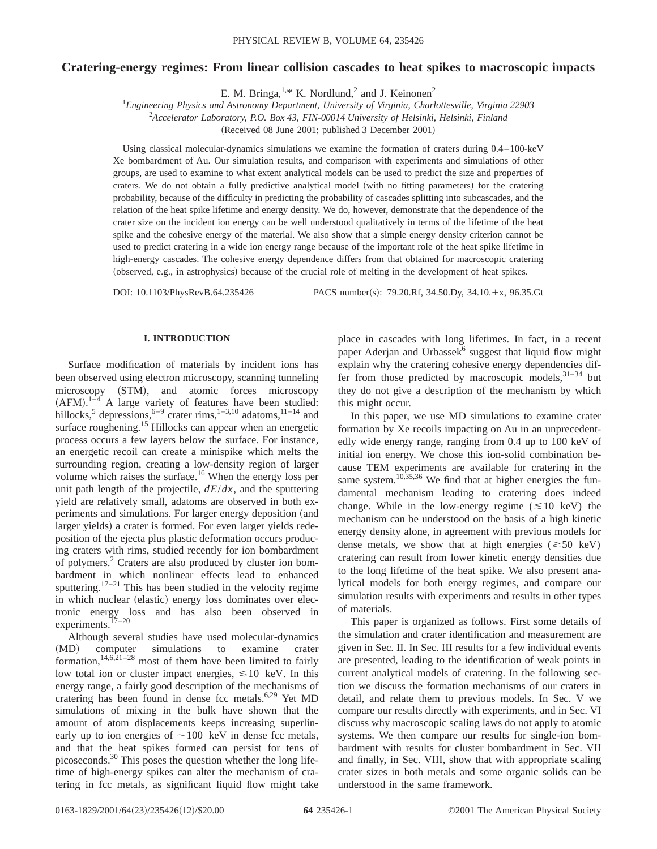# **Cratering-energy regimes: From linear collision cascades to heat spikes to macroscopic impacts**

E. M. Bringa,  $1, * K$ . Nordlund, 2 and J. Keinonen<sup>2</sup>

1 *Engineering Physics and Astronomy Department, University of Virginia, Charlottesville, Virginia 22903* 2 *Accelerator Laboratory, P.O. Box 43, FIN-00014 University of Helsinki, Helsinki, Finland*

(Received 08 June 2001; published 3 December 2001)

Using classical molecular-dynamics simulations we examine the formation of craters during 0.4–100-keV Xe bombardment of Au. Our simulation results, and comparison with experiments and simulations of other groups, are used to examine to what extent analytical models can be used to predict the size and properties of craters. We do not obtain a fully predictive analytical model (with no fitting parameters) for the cratering probability, because of the difficulty in predicting the probability of cascades splitting into subcascades, and the relation of the heat spike lifetime and energy density. We do, however, demonstrate that the dependence of the crater size on the incident ion energy can be well understood qualitatively in terms of the lifetime of the heat spike and the cohesive energy of the material. We also show that a simple energy density criterion cannot be used to predict cratering in a wide ion energy range because of the important role of the heat spike lifetime in high-energy cascades. The cohesive energy dependence differs from that obtained for macroscopic cratering (observed, e.g., in astrophysics) because of the crucial role of melting in the development of heat spikes.

DOI: 10.1103/PhysRevB.64.235426 PACS number(s): 79.20.Rf, 34.50.Dy, 34.10.+x, 96.35.Gt

## **I. INTRODUCTION**

Surface modification of materials by incident ions has been observed using electron microscopy, scanning tunneling microscopy (STM), and atomic forces microscopy  $(AFM).$ <sup>1-4</sup> A large variety of features have been studied: hillocks,<sup>5</sup> depressions,<sup>6–9</sup> crater rims,<sup>1–3,10</sup> adatoms,<sup>11–14</sup> and surface roughening.<sup>15</sup> Hillocks can appear when an energetic process occurs a few layers below the surface. For instance, an energetic recoil can create a minispike which melts the surrounding region, creating a low-density region of larger volume which raises the surface.<sup>16</sup> When the energy loss per unit path length of the projectile, *dE*/*dx*, and the sputtering yield are relatively small, adatoms are observed in both experiments and simulations. For larger energy deposition (and larger yields) a crater is formed. For even larger yields redeposition of the ejecta plus plastic deformation occurs producing craters with rims, studied recently for ion bombardment of polymers.2 Craters are also produced by cluster ion bombardment in which nonlinear effects lead to enhanced sputtering.<sup>17–21</sup> This has been studied in the velocity regime in which nuclear (elastic) energy loss dominates over electronic energy loss and has also been observed in  $\frac{17-20}{2}$ experiments.<sup>1</sup>

Although several studies have used molecular-dynamics (MD) computer simulations to examine crater formation, $14,6,21-28$  most of them have been limited to fairly low total ion or cluster impact energies,  $\leq 10$  keV. In this energy range, a fairly good description of the mechanisms of cratering has been found in dense fcc metals.<sup>6,29</sup> Yet MD simulations of mixing in the bulk have shown that the amount of atom displacements keeps increasing superlinearly up to ion energies of  $\sim$ 100 keV in dense fcc metals, and that the heat spikes formed can persist for tens of picoseconds.<sup>30</sup> This poses the question whether the long lifetime of high-energy spikes can alter the mechanism of cratering in fcc metals, as significant liquid flow might take

place in cascades with long lifetimes. In fact, in a recent paper Aderjan and Urbassek<sup>6</sup> suggest that liquid flow might explain why the cratering cohesive energy dependencies differ from those predicted by macroscopic models,  $31-34$  but they do not give a description of the mechanism by which this might occur.

In this paper, we use MD simulations to examine crater formation by Xe recoils impacting on Au in an unprecedentedly wide energy range, ranging from 0.4 up to 100 keV of initial ion energy. We chose this ion-solid combination because TEM experiments are available for cratering in the same system.<sup>10,35,36</sup> We find that at higher energies the fundamental mechanism leading to cratering does indeed change. While in the low-energy regime  $(\leq 10 \text{ keV})$  the mechanism can be understood on the basis of a high kinetic energy density alone, in agreement with previous models for dense metals, we show that at high energies ( $\approx$  50 keV) cratering can result from lower kinetic energy densities due to the long lifetime of the heat spike. We also present analytical models for both energy regimes, and compare our simulation results with experiments and results in other types of materials.

This paper is organized as follows. First some details of the simulation and crater identification and measurement are given in Sec. II. In Sec. III results for a few individual events are presented, leading to the identification of weak points in current analytical models of cratering. In the following section we discuss the formation mechanisms of our craters in detail, and relate them to previous models. In Sec. V we compare our results directly with experiments, and in Sec. VI discuss why macroscopic scaling laws do not apply to atomic systems. We then compare our results for single-ion bombardment with results for cluster bombardment in Sec. VII and finally, in Sec. VIII, show that with appropriate scaling crater sizes in both metals and some organic solids can be understood in the same framework.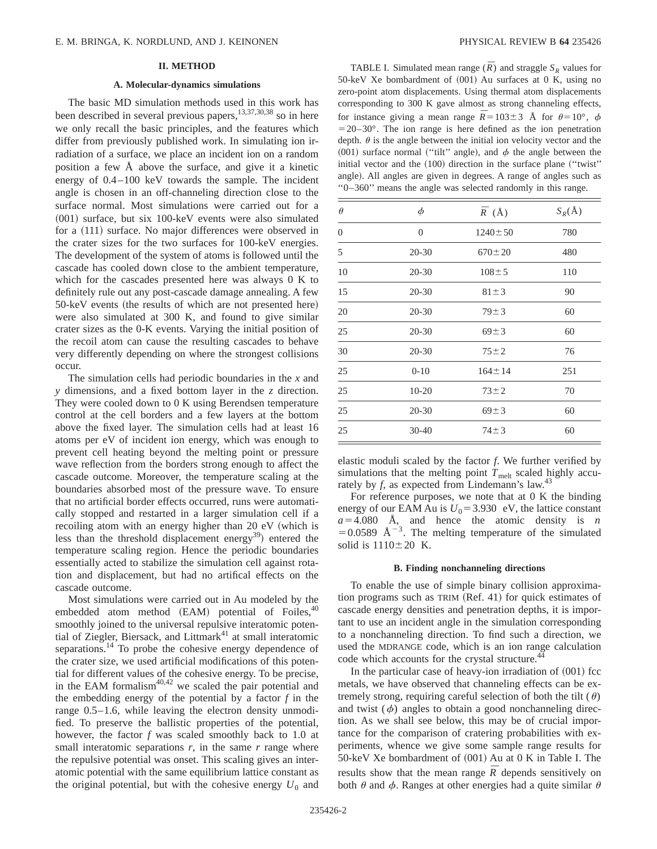## **II. METHOD**

### **A. Molecular-dynamics simulations**

The basic MD simulation methods used in this work has been described in several previous papers,<sup>13,37,30,38</sup> so in here we only recall the basic principles, and the features which differ from previously published work. In simulating ion irradiation of a surface, we place an incident ion on a random position a few Å above the surface, and give it a kinetic energy of 0.4–100 keV towards the sample. The incident angle is chosen in an off-channeling direction close to the surface normal. Most simulations were carried out for a  $(001)$  surface, but six 100-keV events were also simulated for a  $(111)$  surface. No major differences were observed in the crater sizes for the two surfaces for 100-keV energies. The development of the system of atoms is followed until the cascade has cooled down close to the ambient temperature, which for the cascades presented here was always 0 K to definitely rule out any post-cascade damage annealing. A few  $50$ -keV events (the results of which are not presented here) were also simulated at 300 K, and found to give similar crater sizes as the 0-K events. Varying the initial position of the recoil atom can cause the resulting cascades to behave very differently depending on where the strongest collisions occur.

The simulation cells had periodic boundaries in the *x* and *y* dimensions, and a fixed bottom layer in the *z* direction. They were cooled down to 0 K using Berendsen temperature control at the cell borders and a few layers at the bottom above the fixed layer. The simulation cells had at least 16 atoms per eV of incident ion energy, which was enough to prevent cell heating beyond the melting point or pressure wave reflection from the borders strong enough to affect the cascade outcome. Moreover, the temperature scaling at the boundaries absorbed most of the pressure wave. To ensure that no artificial border effects occurred, runs were automatically stopped and restarted in a larger simulation cell if a recoiling atom with an energy higher than  $20 \text{ eV}$  (which is less than the threshold displacement energy<sup>39</sup>) entered the temperature scaling region. Hence the periodic boundaries essentially acted to stabilize the simulation cell against rotation and displacement, but had no artifical effects on the cascade outcome.

Most simulations were carried out in Au modeled by the embedded atom method  $(EAM)$  potential of Foiles,  $40$ smoothly joined to the universal repulsive interatomic potential of Ziegler, Biersack, and Littmark<sup>41</sup> at small interatomic separations.<sup>14</sup> To probe the cohesive energy dependence of the crater size, we used artificial modifications of this potential for different values of the cohesive energy. To be precise, in the EAM formalism $40,42$  we scaled the pair potential and the embedding energy of the potential by a factor *f* in the range 0.5–1.6, while leaving the electron density unmodified. To preserve the ballistic properties of the potential, however, the factor *f* was scaled smoothly back to 1.0 at small interatomic separations  $r$ , in the same  $r$  range where the repulsive potential was onset. This scaling gives an interatomic potential with the same equilibrium lattice constant as the original potential, but with the cohesive energy  $U_0$  and

TABLE I. Simulated mean range  $(\overline{R})$  and straggle  $S_R$  values for 50-keV Xe bombardment of  $(001)$  Au surfaces at 0 K, using no zero-point atom displacements. Using thermal atom displacements corresponding to 300 K gave almost as strong channeling effects, for instance giving a mean range  $\bar{R} = 103 \pm 3$  Å for  $\theta = 10^{\circ}$ ,  $\phi$  $=20-30^{\circ}$ . The ion range is here defined as the ion penetration depth.  $\theta$  is the angle between the initial ion velocity vector and the (001) surface normal ("tilt" angle), and  $\phi$  the angle between the initial vector and the  $(100)$  direction in the surface plane ("twist" angle). All angles are given in degrees. A range of angles such as ''0–360'' means the angle was selected randomly in this range.

| $\theta$       | $\phi$         | $\bar{R}$ (Å) | $S_R(\AA)$ |
|----------------|----------------|---------------|------------|
| $\overline{0}$ | $\overline{0}$ | $1240 \pm 50$ | 780        |
| 5              | $20 - 30$      | $670 \pm 20$  | 480        |
| 10             | $20 - 30$      | $108 \pm 5$   | 110        |
| 15             | $20 - 30$      | $81 \pm 3$    | 90         |
| 20             | $20 - 30$      | $79 \pm 3$    | 60         |
| 25             | $20 - 30$      | $69 \pm 3$    | 60         |
| 30             | $20 - 30$      | $75 \pm 2$    | 76         |
| 25             | $0-10$         | $164 \pm 14$  | 251        |
| 25             | $10 - 20$      | $73 \pm 2$    | 70         |
| 25             | $20 - 30$      | $69 \pm 3$    | 60         |
| 25             | $30 - 40$      | $74 \pm 3$    | 60         |

elastic moduli scaled by the factor *f*. We further verified by simulations that the melting point  $T_{\text{melt}}$  scaled highly accurately by  $f$ , as expected from Lindemann's law.<sup>43</sup>

For reference purposes, we note that at 0 K the binding energy of our EAM Au is  $U_0$ =3.930 eV, the lattice constant  $a=4.080$  Å, and hence the atomic density is *n*  $=0.0589$  Å<sup>-3</sup>. The melting temperature of the simulated solid is  $1110\pm20$  K.

#### **B. Finding nonchanneling directions**

To enable the use of simple binary collision approximation programs such as  $TRIM$  (Ref. 41) for quick estimates of cascade energy densities and penetration depths, it is important to use an incident angle in the simulation corresponding to a nonchanneling direction. To find such a direction, we used the MDRANGE code, which is an ion range calculation code which accounts for the crystal structure.<sup>44</sup>

In the particular case of heavy-ion irradiation of  $(001)$  fcc metals, we have observed that channeling effects can be extremely strong, requiring careful selection of both the tilt  $(\theta)$ and twist  $(\phi)$  angles to obtain a good nonchanneling direction. As we shall see below, this may be of crucial importance for the comparison of cratering probabilities with experiments, whence we give some sample range results for 50-keV Xe bombardment of  $(001)$  Au at 0 K in Table I. The results show that the mean range  $\overline{R}$  depends sensitively on both  $\theta$  and  $\phi$ . Ranges at other energies had a quite similar  $\theta$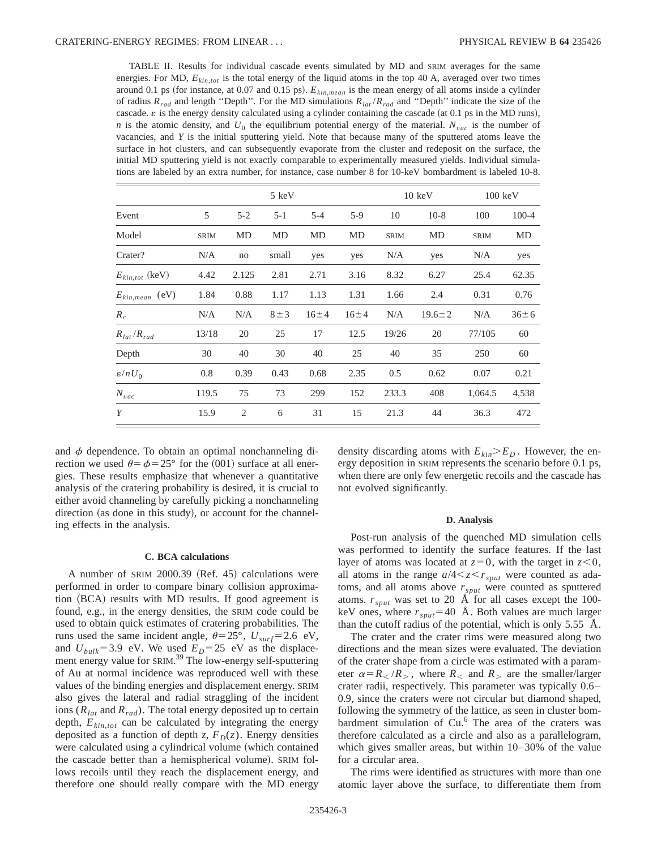TABLE II. Results for individual cascade events simulated by MD and SRIM averages for the same energies. For MD,  $E_{kin, tot}$  is the total energy of the liquid atoms in the top 40 A, averaged over two times around 0.1 ps (for instance, at 0.07 and 0.15 ps).  $E_{kin,mean}$  is the mean energy of all atoms inside a cylinder of radius *Rrad* and length ''Depth''. For the MD simulations *Rlat* /*Rrad* and ''Depth'' indicate the size of the cascade.  $\varepsilon$  is the energy density calculated using a cylinder containing the cascade (at 0.1 ps in the MD runs), *n* is the atomic density, and  $U_0$  the equilibrium potential energy of the material.  $N_{vac}$  is the number of vacancies, and *Y* is the initial sputtering yield. Note that because many of the sputtered atoms leave the surface in hot clusters, and can subsequently evaporate from the cluster and redeposit on the surface, the initial MD sputtering yield is not exactly comparable to experimentally measured yields. Individual simulations are labeled by an extra number, for instance, case number 8 for 10-keV bombardment is labeled 10-8.

|                     |             | 5 keV          |           |          |          | $10 \text{ keV}$ |              | $100 \text{ keV}$ |            |
|---------------------|-------------|----------------|-----------|----------|----------|------------------|--------------|-------------------|------------|
| Event               | 5           | $5 - 2$        | $5 - 1$   | $5 - 4$  | $5-9$    | 10               | $10-8$       | 100               | $100 - 4$  |
| Model               | <b>SRIM</b> | MD             | MD        | MD       | MD       | <b>SRIM</b>      | MD           | <b>SRIM</b>       | MD         |
| Crater?             | N/A         | no             | small     | yes      | yes      | N/A              | yes          | N/A               | yes        |
| $E_{kin,tot}$ (keV) | 4.42        | 2.125          | 2.81      | 2.71     | 3.16     | 8.32             | 6.27         | 25.4              | 62.35      |
| $E_{kin,mean}$ (eV) | 1.84        | 0.88           | 1.17      | 1.13     | 1.31     | 1.66             | 2.4          | 0.31              | 0.76       |
| $R_c$               | N/A         | N/A            | $8 \pm 3$ | $16 + 4$ | $16 + 4$ | N/A              | $19.6 \pm 2$ | N/A               | $36 \pm 6$ |
| $R_{lat}/R_{rad}$   | 13/18       | 20             | 25        | 17       | 12.5     | 19/26            | 20           | 77/105            | 60         |
| Depth               | 30          | 40             | 30        | 40       | 25       | 40               | 35           | 250               | 60         |
| $\varepsilon/nU_0$  | 0.8         | 0.39           | 0.43      | 0.68     | 2.35     | 0.5              | 0.62         | 0.07              | 0.21       |
| $N_{vac}$           | 119.5       | 75             | 73        | 299      | 152      | 233.3            | 408          | 1,064.5           | 4,538      |
| Y                   | 15.9        | $\overline{2}$ | 6         | 31       | 15       | 21.3             | 44           | 36.3              | 472        |

and  $\phi$  dependence. To obtain an optimal nonchanneling direction we used  $\theta = \phi = 25^{\circ}$  for the (001) surface at all energies. These results emphasize that whenever a quantitative analysis of the cratering probability is desired, it is crucial to either avoid channeling by carefully picking a nonchanneling direction (as done in this study), or account for the channeling effects in the analysis.

#### **C. BCA calculations**

A number of SRIM 2000.39 (Ref. 45) calculations were performed in order to compare binary collision approximation (BCA) results with MD results. If good agreement is found, e.g., in the energy densities, the SRIM code could be used to obtain quick estimates of cratering probabilities. The runs used the same incident angle,  $\theta = 25^{\circ}$ ,  $U_{surf} = 2.6 \text{ eV}$ , and  $U_{bulk}$ =3.9 eV. We used  $E_D$ =25 eV as the displacement energy value for SRIM.<sup>39</sup> The low-energy self-sputtering of Au at normal incidence was reproduced well with these values of the binding energies and displacement energy. SRIM also gives the lateral and radial straggling of the incident ions  $(R<sub>lat</sub>$  and  $R<sub>rad</sub>$ ). The total energy deposited up to certain depth,  $E_{kin,tot}$  can be calculated by integrating the energy deposited as a function of depth *z*,  $F_D(z)$ . Energy densities were calculated using a cylindrical volume (which contained the cascade better than a hemispherical volume). SRIM follows recoils until they reach the displacement energy, and therefore one should really compare with the MD energy density discarding atoms with  $E_{kin} > E_D$ . However, the energy deposition in SRIM represents the scenario before 0.1 ps, when there are only few energetic recoils and the cascade has not evolved significantly.

#### **D. Analysis**

Post-run analysis of the quenched MD simulation cells was performed to identify the surface features. If the last layer of atoms was located at  $z=0$ , with the target in  $z<0$ , all atoms in the range  $a/4 < z < r<sub>sput</sub>$  were counted as adatoms, and all atoms above  $r_{sput}$  were counted as sputtered atoms.  $r_{sput}$  was set to 20  $\AA$  for all cases except the 100keV ones, where  $r_{sput}$ =40 Å. Both values are much larger than the cutoff radius of the potential, which is only 5.55 Å.

The crater and the crater rims were measured along two directions and the mean sizes were evaluated. The deviation of the crater shape from a circle was estimated with a parameter  $\alpha = R_{\leq}/R_{>}$ , where  $R_{\leq}$  and  $R_{>}$  are the smaller/larger crater radii, respectively. This parameter was typically 0.6– 0.9, since the craters were not circular but diamond shaped, following the symmetry of the lattice, as seen in cluster bombardment simulation of Cu.<sup>6</sup> The area of the craters was therefore calculated as a circle and also as a parallelogram, which gives smaller areas, but within 10–30% of the value for a circular area.

The rims were identified as structures with more than one atomic layer above the surface, to differentiate them from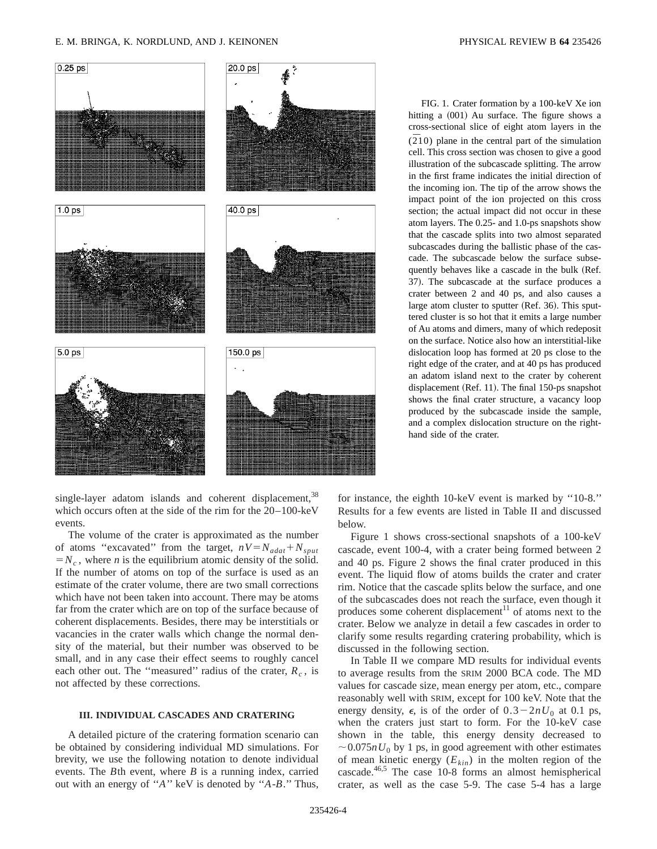### E. M. BRINGA, K. NORDLUND, AND J. KEINONEN PHYSICAL REVIEW B **64** 235426



single-layer adatom islands and coherent displacement,  $38$ which occurs often at the side of the rim for the 20–100-keV events.

The volume of the crater is approximated as the number of atoms "excavated" from the target,  $nV = N_{adat} + N_{sput}$  $=N_c$ , where *n* is the equilibrium atomic density of the solid. If the number of atoms on top of the surface is used as an estimate of the crater volume, there are two small corrections which have not been taken into account. There may be atoms far from the crater which are on top of the surface because of coherent displacements. Besides, there may be interstitials or vacancies in the crater walls which change the normal density of the material, but their number was observed to be small, and in any case their effect seems to roughly cancel each other out. The "measured" radius of the crater,  $R_c$ , is not affected by these corrections.

## **III. INDIVIDUAL CASCADES AND CRATERING**

A detailed picture of the cratering formation scenario can be obtained by considering individual MD simulations. For brevity, we use the following notation to denote individual events. The *B*th event, where *B* is a running index, carried out with an energy of ''*A*'' keV is denoted by ''*A*-*B*.'' Thus,

FIG. 1. Crater formation by a 100-keV Xe ion hitting a  $(001)$  Au surface. The figure shows a cross-sectional slice of eight atom layers in the  $(210)$  plane in the central part of the simulation cell. This cross section was chosen to give a good illustration of the subcascade splitting. The arrow in the first frame indicates the initial direction of the incoming ion. The tip of the arrow shows the impact point of the ion projected on this cross section; the actual impact did not occur in these atom layers. The 0.25- and 1.0-ps snapshots show that the cascade splits into two almost separated subcascades during the ballistic phase of the cascade. The subcascade below the surface subsequently behaves like a cascade in the bulk (Ref. 37). The subcascade at the surface produces a crater between 2 and 40 ps, and also causes a large atom cluster to sputter (Ref. 36). This sputtered cluster is so hot that it emits a large number of Au atoms and dimers, many of which redeposit on the surface. Notice also how an interstitial-like dislocation loop has formed at 20 ps close to the right edge of the crater, and at 40 ps has produced an adatom island next to the crater by coherent displacement (Ref. 11). The final 150-ps snapshot shows the final crater structure, a vacancy loop produced by the subcascade inside the sample, and a complex dislocation structure on the righthand side of the crater.

for instance, the eighth 10-keV event is marked by ''10-8.'' Results for a few events are listed in Table II and discussed below.

Figure 1 shows cross-sectional snapshots of a 100-keV cascade, event 100-4, with a crater being formed between 2 and 40 ps. Figure 2 shows the final crater produced in this event. The liquid flow of atoms builds the crater and crater rim. Notice that the cascade splits below the surface, and one of the subcascades does not reach the surface, even though it produces some coherent displacement<sup>11</sup> of atoms next to the crater. Below we analyze in detail a few cascades in order to clarify some results regarding cratering probability, which is discussed in the following section.

In Table II we compare MD results for individual events to average results from the SRIM 2000 BCA code. The MD values for cascade size, mean energy per atom, etc., compare reasonably well with SRIM, except for 100 keV. Note that the energy density,  $\epsilon$ , is of the order of  $0.3-2nU_0$  at 0.1 ps, when the craters just start to form. For the 10-keV case shown in the table, this energy density decreased to  $\sim 0.075nU_0$  by 1 ps, in good agreement with other estimates of mean kinetic energy  $(E_{kin})$  in the molten region of the cascade.46,5 The case 10-8 forms an almost hemispherical crater, as well as the case 5-9. The case 5-4 has a large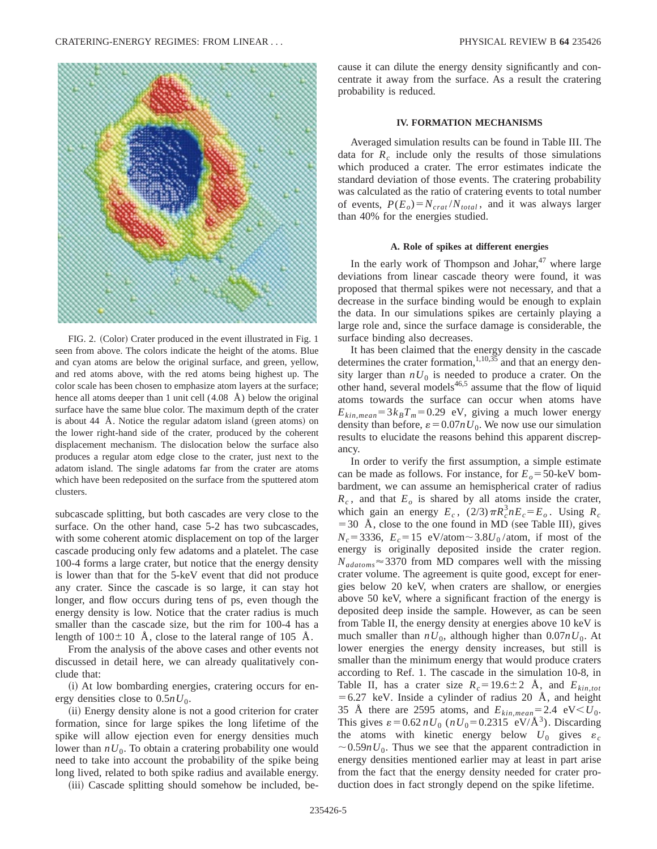

FIG. 2. (Color) Crater produced in the event illustrated in Fig. 1 seen from above. The colors indicate the height of the atoms. Blue and cyan atoms are below the original surface, and green, yellow, and red atoms above, with the red atoms being highest up. The color scale has been chosen to emphasize atom layers at the surface; hence all atoms deeper than 1 unit cell (4.08 Å) below the original surface have the same blue color. The maximum depth of the crater is about 44 Å. Notice the regular adatom island (green atoms) on the lower right-hand side of the crater, produced by the coherent displacement mechanism. The dislocation below the surface also produces a regular atom edge close to the crater, just next to the adatom island. The single adatoms far from the crater are atoms which have been redeposited on the surface from the sputtered atom clusters.

subcascade splitting, but both cascades are very close to the surface. On the other hand, case 5-2 has two subcascades, with some coherent atomic displacement on top of the larger cascade producing only few adatoms and a platelet. The case 100-4 forms a large crater, but notice that the energy density is lower than that for the 5-keV event that did not produce any crater. Since the cascade is so large, it can stay hot longer, and flow occurs during tens of ps, even though the energy density is low. Notice that the crater radius is much smaller than the cascade size, but the rim for 100-4 has a length of  $100\pm10$  Å, close to the lateral range of 105 Å.

From the analysis of the above cases and other events not discussed in detail here, we can already qualitatively conclude that:

 $(i)$  At low bombarding energies, cratering occurs for energy densities close to  $0.5nU_0$ .

(ii) Energy density alone is not a good criterion for crater formation, since for large spikes the long lifetime of the spike will allow ejection even for energy densities much lower than  $nU_0$ . To obtain a cratering probability one would need to take into account the probability of the spike being long lived, related to both spike radius and available energy.

(iii) Cascade splitting should somehow be included, be-

cause it can dilute the energy density significantly and concentrate it away from the surface. As a result the cratering probability is reduced.

## **IV. FORMATION MECHANISMS**

Averaged simulation results can be found in Table III. The data for  $R_c$  include only the results of those simulations which produced a crater. The error estimates indicate the standard deviation of those events. The cratering probability was calculated as the ratio of cratering events to total number of events,  $P(E_o) = N_{crat}/N_{total}$ , and it was always larger than 40% for the energies studied.

## **A. Role of spikes at different energies**

In the early work of Thompson and Johar, $47$  where large deviations from linear cascade theory were found, it was proposed that thermal spikes were not necessary, and that a decrease in the surface binding would be enough to explain the data. In our simulations spikes are certainly playing a large role and, since the surface damage is considerable, the surface binding also decreases.

It has been claimed that the energy density in the cascade determines the crater formation, $1,10,35$  and that an energy density larger than  $nU_0$  is needed to produce a crater. On the other hand, several models $46,5$  assume that the flow of liquid atoms towards the surface can occur when atoms have  $E_{kin,mean} = 3k_B T_m = 0.29$  eV, giving a much lower energy density than before,  $\varepsilon = 0.07nU_0$ . We now use our simulation results to elucidate the reasons behind this apparent discrepancy.

In order to verify the first assumption, a simple estimate can be made as follows. For instance, for  $E<sub>o</sub> = 50$ -keV bombardment, we can assume an hemispherical crater of radius  $R_c$ , and that  $E_o$  is shared by all atoms inside the crater, which gain an energy  $E_c$ ,  $(2/3)\pi R_c^3 n E_c = E_o$ . Using  $R_c$  $=$  30 Å, close to the one found in MD (see Table III), gives  $N_c$ =3336,  $E_c$ =15 eV/atom~3.8 $U_0$ /atom, if most of the energy is originally deposited inside the crater region.  $N_{adatoms} \approx 3370$  from MD compares well with the missing crater volume. The agreement is quite good, except for energies below 20 keV, when craters are shallow, or energies above 50 keV, where a significant fraction of the energy is deposited deep inside the sample. However, as can be seen from Table II, the energy density at energies above 10 keV is much smaller than  $nU_0$ , although higher than  $0.07nU_0$ . At lower energies the energy density increases, but still is smaller than the minimum energy that would produce craters according to Ref. 1. The cascade in the simulation 10-8, in Table II, has a crater size  $R_c = 19.6 \pm 2$  Å, and  $E_{kin,tot}$  $=6.27$  keV. Inside a cylinder of radius 20 Å, and height 35 Å there are 2595 atoms, and  $E_{kin,mean} = 2.4 \text{ eV} < U_0$ . This gives  $\varepsilon = 0.62 nU_0$  ( $nU_0 = 0.2315$  eV/Å<sup>3</sup>). Discarding the atoms with kinetic energy below  $U_0$  gives  $\varepsilon_c$  $\sim 0.59nU_0$ . Thus we see that the apparent contradiction in energy densities mentioned earlier may at least in part arise from the fact that the energy density needed for crater production does in fact strongly depend on the spike lifetime.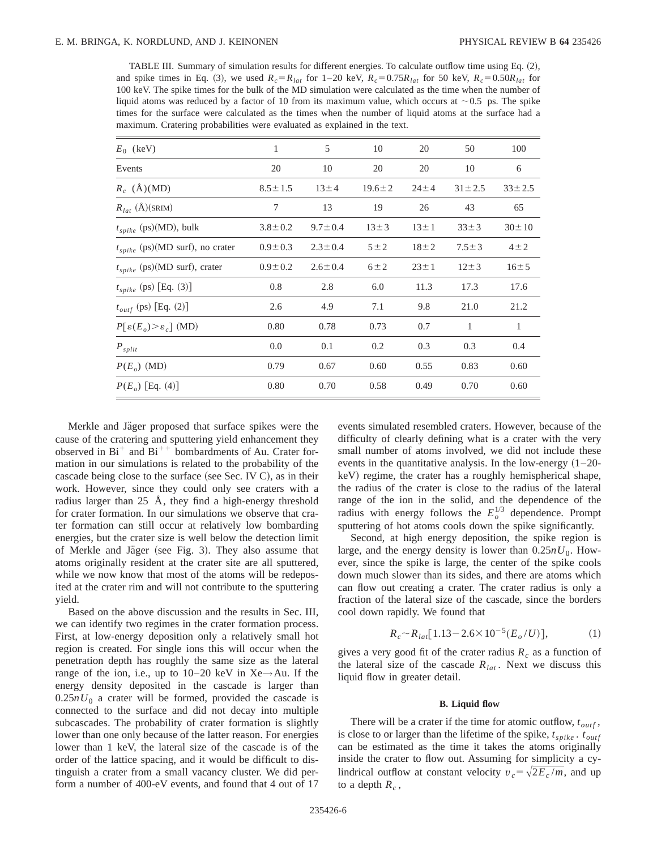TABLE III. Summary of simulation results for different energies. To calculate outflow time using Eq.  $(2)$ , and spike times in Eq. (3), we used  $R_c = R_{lat}$  for 1–20 keV,  $R_c = 0.75R_{lat}$  for 50 keV,  $R_c = 0.50R_{lat}$  for 100 keV. The spike times for the bulk of the MD simulation were calculated as the time when the number of liquid atoms was reduced by a factor of 10 from its maximum value, which occurs at  $\sim$  0.5 ps. The spike times for the surface were calculated as the times when the number of liquid atoms at the surface had a maximum. Cratering probabilities were evaluated as explained in the text.

| $E_0$ (keV)                                     | 1             | 5             | 10           | 20         | 50           | 100          |
|-------------------------------------------------|---------------|---------------|--------------|------------|--------------|--------------|
| Events                                          | 20            | 10            | 20           | 20         | 10           | 6            |
| $R_c$ (Å)(MD)                                   | $8.5 \pm 1.5$ | $13 \pm 4$    | $19.6 \pm 2$ | $24 \pm 4$ | $31 \pm 2.5$ | $33 \pm 2.5$ |
| $R_{lat}(\text{\AA})(SRIM)$                     | 7             | 13            | 19           | 26         | 43           | 65           |
| $t_{spike}\ (\mathrm{ps})(\mathrm{MD}),$ bulk   | $3.8 \pm 0.2$ | $9.7 \pm 0.4$ | $13 \pm 3$   | $13 \pm 1$ | $33 \pm 3$   | $30 \pm 10$  |
| $t_{spike}$ (ps)(MD surf), no crater            | $0.9 \pm 0.3$ | $2.3 \pm 0.4$ | $5 \pm 2$    | $18 + 2$   | $7.5 \pm 3$  | $4 \pm 2$    |
| $t_{spike}$ (ps)(MD surf), crater               | $0.9 \pm 0.2$ | $2.6 \pm 0.4$ | $6 \pm 2$    | $23 \pm 1$ | $12 \pm 3$   | $16 + 5$     |
| $t_{spike}\ (\mathrm{ps})\ [\mathrm{Eq.}\ (3)]$ | 0.8           | 2.8           | 6.0          | 11.3       | 17.3         | 17.6         |
| $t_{outf}$ (ps) [Eq. (2)]                       | 2.6           | 4.9           | 7.1          | 9.8        | 21.0         | 21.2         |
| $P[\epsilon(E_o) > \epsilon_c]$ (MD)            | 0.80          | 0.78          | 0.73         | 0.7        | 1            | 1            |
| $P_{split}$                                     | 0.0           | 0.1           | 0.2          | 0.3        | 0.3          | 0.4          |
| $P(E_o)$ (MD)                                   | 0.79          | 0.67          | 0.60         | 0.55       | 0.83         | 0.60         |
| $P(E_o)$ [Eq. (4)]                              | 0.80          | 0.70          | 0.58         | 0.49       | 0.70         | 0.60         |
|                                                 |               |               |              |            |              |              |

Merkle and Jäger proposed that surface spikes were the cause of the cratering and sputtering yield enhancement they observed in  $Bi^+$  and  $Bi^{++}$  bombardments of Au. Crater formation in our simulations is related to the probability of the cascade being close to the surface (see Sec. IV C), as in their work. However, since they could only see craters with a radius larger than 25 Å, they find a high-energy threshold for crater formation. In our simulations we observe that crater formation can still occur at relatively low bombarding energies, but the crater size is well below the detection limit of Merkle and Jäger (see Fig. 3). They also assume that atoms originally resident at the crater site are all sputtered, while we now know that most of the atoms will be redeposited at the crater rim and will not contribute to the sputtering yield.

Based on the above discussion and the results in Sec. III, we can identify two regimes in the crater formation process. First, at low-energy deposition only a relatively small hot region is created. For single ions this will occur when the penetration depth has roughly the same size as the lateral range of the ion, i.e., up to  $10-20$  keV in Xe $\rightarrow$ Au. If the energy density deposited in the cascade is larger than  $0.25nU_0$  a crater will be formed, provided the cascade is connected to the surface and did not decay into multiple subcascades. The probability of crater formation is slightly lower than one only because of the latter reason. For energies lower than 1 keV, the lateral size of the cascade is of the order of the lattice spacing, and it would be difficult to distinguish a crater from a small vacancy cluster. We did perform a number of 400-eV events, and found that 4 out of 17 events simulated resembled craters. However, because of the difficulty of clearly defining what is a crater with the very small number of atoms involved, we did not include these events in the quantitative analysis. In the low-energy  $(1–20$ keV) regime, the crater has a roughly hemispherical shape, the radius of the crater is close to the radius of the lateral range of the ion in the solid, and the dependence of the radius with energy follows the  $E_o^{1/3}$  dependence. Prompt sputtering of hot atoms cools down the spike significantly.

Second, at high energy deposition, the spike region is large, and the energy density is lower than  $0.25nU_0$ . However, since the spike is large, the center of the spike cools down much slower than its sides, and there are atoms which can flow out creating a crater. The crater radius is only a fraction of the lateral size of the cascade, since the borders cool down rapidly. We found that

$$
R_c \sim R_{lat} [1.13 - 2.6 \times 10^{-5} (E_o/U)], \tag{1}
$$

gives a very good fit of the crater radius  $R_c$  as a function of the lateral size of the cascade  $R_{lat}$ . Next we discuss this liquid flow in greater detail.

### **B. Liquid flow**

There will be a crater if the time for atomic outflow,  $t_{outf}$ , is close to or larger than the lifetime of the spike,  $t_{snike}$  .  $t_{outf}$ can be estimated as the time it takes the atoms originally inside the crater to flow out. Assuming for simplicity a cylindrical outflow at constant velocity  $v_c = \sqrt{2E_c / m}$ , and up to a depth  $R_c$ ,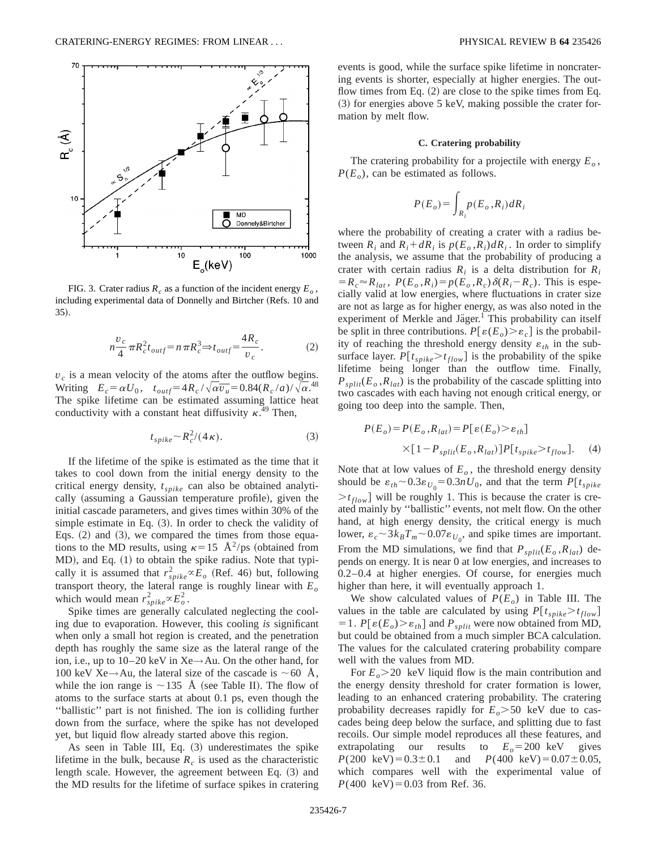

FIG. 3. Crater radius  $R_c$  as a function of the incident energy  $E_o$ , including experimental data of Donnelly and Birtcher (Refs. 10 and 35!.

$$
n\frac{v_c}{4}\pi R_c^2 t_{outf} = n\pi R_c^3 \Rightarrow t_{outf} = \frac{4R_c}{v_c}.
$$
 (2)

 $v_c$  is a mean velocity of the atoms after the outflow begins. Writing  $E_c = \alpha U_0$ ,  $t_{outf} = 4R_c / \sqrt{\alpha v_u} = 0.84(R_c/a)/\sqrt{\alpha}$ .<sup>48</sup> The spike lifetime can be estimated assuming lattice heat conductivity with a constant heat diffusivity  $\kappa$ .<sup>49</sup> Then,

$$
t_{spike} \sim R_c^2/(4\,\kappa). \tag{3}
$$

If the lifetime of the spike is estimated as the time that it takes to cool down from the initial energy density to the critical energy density, *tspike* can also be obtained analytically (assuming a Gaussian temperature profile), given the initial cascade parameters, and gives times within 30% of the simple estimate in Eq.  $(3)$ . In order to check the validity of Eqs.  $(2)$  and  $(3)$ , we compared the times from those equations to the MD results, using  $\kappa=15 \text{ Å}^2/\text{ps}$  (obtained from MD), and Eq. (1) to obtain the spike radius. Note that typically it is assumed that  $r_{spike}^2 \propto E_o$  (Ref. 46) but, following transport theory, the lateral range is roughly linear with  $E<sub>o</sub>$ which would mean  $r_{spike}^2 \propto E_o^2$ .

Spike times are generally calculated neglecting the cooling due to evaporation. However, this cooling *is* significant when only a small hot region is created, and the penetration depth has roughly the same size as the lateral range of the ion, i.e., up to  $10-20$  keV in Xe $\rightarrow$ Au. On the other hand, for 100 keV Xe→Au, the lateral size of the cascade is  $\sim$  60 Å, while the ion range is  $\sim$ 135 Å (see Table II). The flow of atoms to the surface starts at about 0.1 ps, even though the ''ballistic'' part is not finished. The ion is colliding further down from the surface, where the spike has not developed yet, but liquid flow already started above this region.

As seen in Table III, Eq. (3) underestimates the spike lifetime in the bulk, because  $R_c$  is used as the characteristic length scale. However, the agreement between Eq. (3) and the MD results for the lifetime of surface spikes in cratering events is good, while the surface spike lifetime in noncratering events is shorter, especially at higher energies. The outflow times from Eq.  $(2)$  are close to the spike times from Eq.  $(3)$  for energies above 5 keV, making possible the crater formation by melt flow.

### **C. Cratering probability**

The cratering probability for a projectile with energy  $E<sub>o</sub>$ ,  $P(E_o)$ , can be estimated as follows.

$$
P(E_o) = \int_{R_i} p(E_o, R_i) dR_i
$$

where the probability of creating a crater with a radius between  $R_i$  and  $R_i + dR_i$  is  $p(E_o, R_i) dR_i$ . In order to simplify the analysis, we assume that the probability of producing a crater with certain radius  $R_i$  is a delta distribution for  $R_i$  $=R_c \approx R_{lat}$ ,  $P(E_o, R_i) = p(E_o, R_c) \delta(R_i - R_c)$ . This is especially valid at low energies, where fluctuations in crater size are not as large as for higher energy, as was also noted in the experiment of Merkle and Jäger. $<sup>1</sup>$  This probability can itself</sup> be split in three contributions.  $P[\varepsilon(E_o) > \varepsilon_c]$  is the probability of reaching the threshold energy density  $\varepsilon_{th}$  in the subsurface layer.  $P[t_{spike} > t_{flow}]$  is the probability of the spike lifetime being longer than the outflow time. Finally,  $P_{split}(E_o, R_{lat})$  is the probability of the cascade splitting into two cascades with each having not enough critical energy, or going too deep into the sample. Then,

$$
P(E_o) = P(E_o, R_{lat}) = P[\varepsilon(E_o) > \varepsilon_{th}]
$$
  
×[1 – P<sub>split</sub>(E<sub>o</sub>, R<sub>lat</sub>)]P[t<sub>spike</sub>>t<sub>flow</sub>]. (4)

Note that at low values of  $E<sub>o</sub>$ , the threshold energy density should be  $\varepsilon_{th} \sim 0.3 \varepsilon_{U_0} = 0.3 n U_0$ , and that the term  $P[t_{spike}]$  $>t_{flow}$ ] will be roughly 1. This is because the crater is created mainly by ''ballistic'' events, not melt flow. On the other hand, at high energy density, the critical energy is much lower,  $\varepsilon_c \sim 3k_B T_m \sim 0.07 \varepsilon_{U_0}$ , and spike times are important. From the MD simulations, we find that  $P_{split}(E_o, R_{lat})$  depends on energy. It is near 0 at low energies, and increases to 0.2–0.4 at higher energies. Of course, for energies much higher than here, it will eventually approach 1.

We show calculated values of  $P(E_o)$  in Table III. The values in the table are calculated by using  $P[t_{spike} > t_{flow}]$ = 1.  $P[\varepsilon(E_o) > \varepsilon_{th}]$  and  $P_{split}$  were now obtained from MD, but could be obtained from a much simpler BCA calculation. The values for the calculated cratering probability compare well with the values from MD.

For  $E_o$   $>$  20 keV liquid flow is the main contribution and the energy density threshold for crater formation is lower, leading to an enhanced cratering probability. The cratering probability decreases rapidly for  $E_0 > 50$  keV due to cascades being deep below the surface, and splitting due to fast recoils. Our simple model reproduces all these features, and extrapolating our results to  $E_o = 200 \text{ keV}$  gives<br> $P(200 \text{ keV}) = 0.3 \pm 0.1$  and  $P(400 \text{ keV}) = 0.07 \pm 0.05$ , and *P*(400 keV)= $0.07 \pm 0.05$ , which compares well with the experimental value of  $P(400 \text{ keV}) = 0.03 \text{ from Ref. } 36.$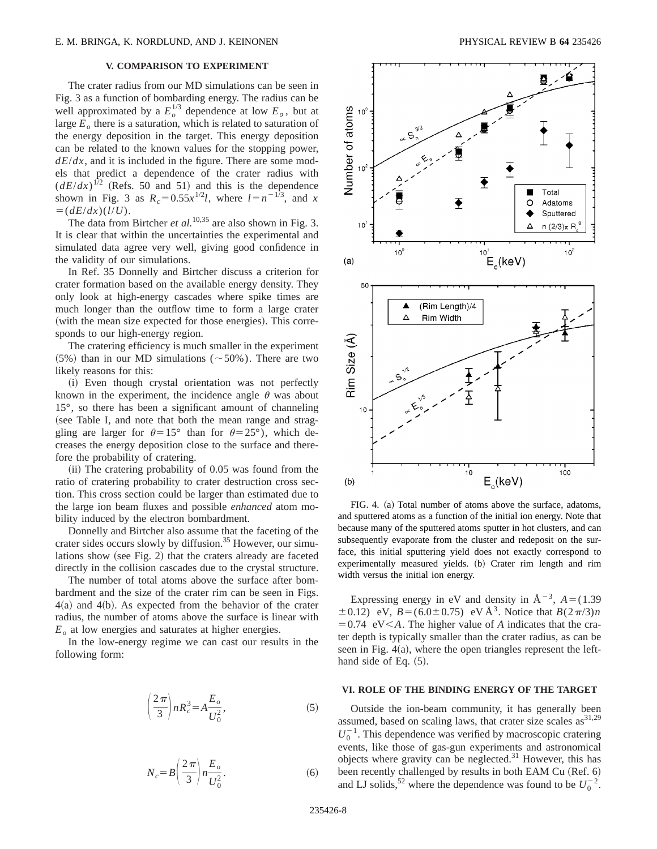## **V. COMPARISON TO EXPERIMENT**

The crater radius from our MD simulations can be seen in Fig. 3 as a function of bombarding energy. The radius can be well approximated by a  $E_o^{1/3}$  dependence at low  $E_o$ , but at large  $E<sub>o</sub>$  there is a saturation, which is related to saturation of the energy deposition in the target. This energy deposition can be related to the known values for the stopping power,  $dE/dx$ , and it is included in the figure. There are some models that predict a dependence of the crater radius with  $(dE/dx)^{1/2}$  (Refs. 50 and 51) and this is the dependence shown in Fig. 3 as  $R_c = 0.55x^{1/2}l$ , where  $l = n^{-1/3}$ , and *x*  $=$  $(dE/dx)(l/U).$ 

The data from Birtcher *et al.*<sup>10,35</sup> are also shown in Fig. 3. It is clear that within the uncertainties the experimental and simulated data agree very well, giving good confidence in the validity of our simulations.

In Ref. 35 Donnelly and Birtcher discuss a criterion for crater formation based on the available energy density. They only look at high-energy cascades where spike times are much longer than the outflow time to form a large crater (with the mean size expected for those energies). This corresponds to our high-energy region.

The cratering efficiency is much smaller in the experiment (5%) than in our MD simulations ( $\sim$  50%). There are two likely reasons for this:

(i) Even though crystal orientation was not perfectly known in the experiment, the incidence angle  $\theta$  was about 15°, so there has been a significant amount of channeling (see Table I, and note that both the mean range and straggling are larger for  $\theta=15^{\circ}$  than for  $\theta=25^{\circ}$ ), which decreases the energy deposition close to the surface and therefore the probability of cratering.

 $(iii)$  The cratering probability of 0.05 was found from the ratio of cratering probability to crater destruction cross section. This cross section could be larger than estimated due to the large ion beam fluxes and possible *enhanced* atom mobility induced by the electron bombardment.

Donnelly and Birtcher also assume that the faceting of the crater sides occurs slowly by diffusion.<sup>35</sup> However, our simulations show (see Fig. 2) that the craters already are faceted directly in the collision cascades due to the crystal structure.

The number of total atoms above the surface after bombardment and the size of the crater rim can be seen in Figs.  $4(a)$  and  $4(b)$ . As expected from the behavior of the crater radius, the number of atoms above the surface is linear with  $E<sub>o</sub>$  at low energies and saturates at higher energies.

In the low-energy regime we can cast our results in the following form:

$$
\left(\frac{2\pi}{3}\right)nR_c^3 = A\frac{E_o}{U_0^2},\tag{5}
$$

$$
N_c = B \left(\frac{2\pi}{3}\right) n \frac{E_o}{U_0^2}.
$$
 (6)



FIG. 4. (a) Total number of atoms above the surface, adatoms, and sputtered atoms as a function of the initial ion energy. Note that because many of the sputtered atoms sputter in hot clusters, and can subsequently evaporate from the cluster and redeposit on the surface, this initial sputtering yield does not exactly correspond to experimentally measured yields. (b) Crater rim length and rim width versus the initial ion energy.

Expressing energy in eV and density in  $A^{-3}$ ,  $A = (1.39)$  $\pm$  0.12) eV, *B* = (6.0 $\pm$  0.75) eV Å<sup>3</sup>. Notice that *B*(2 $\pi$ /3)*n*  $=0.74$  eV<*A*. The higher value of *A* indicates that the crater depth is typically smaller than the crater radius, as can be seen in Fig.  $4(a)$ , where the open triangles represent the lefthand side of Eq.  $(5)$ .

### **VI. ROLE OF THE BINDING ENERGY OF THE TARGET**

Outside the ion-beam community, it has generally been assumed, based on scaling laws, that crater size scales  $as^{31,29}$  $U_0^{-1}$ . This dependence was verified by macroscopic cratering events, like those of gas-gun experiments and astronomical objects where gravity can be neglected. $31$  However, this has been recently challenged by results in both EAM Cu (Ref. 6) and LJ solids,<sup>52</sup> where the dependence was found to be  $U_0^{-2}$ .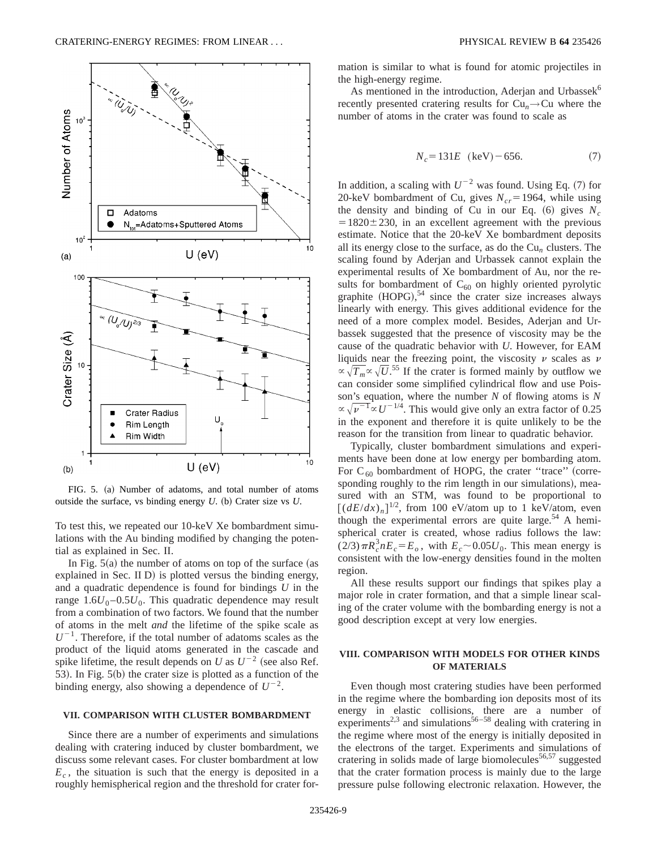

FIG. 5. (a) Number of adatoms, and total number of atoms outside the surface, vs binding energy  $U$ . (b) Crater size vs  $U$ .

To test this, we repeated our 10-keV Xe bombardment simulations with the Au binding modified by changing the potential as explained in Sec. II.

In Fig.  $5(a)$  the number of atoms on top of the surface (as explained in Sec. II  $D$ ) is plotted versus the binding energy, and a quadratic dependence is found for bindings *U* in the range  $1.6U_0 - 0.5U_0$ . This quadratic dependence may result from a combination of two factors. We found that the number of atoms in the melt *and* the lifetime of the spike scale as  $U^{-1}$ . Therefore, if the total number of adatoms scales as the product of the liquid atoms generated in the cascade and spike lifetime, the result depends on *U* as  $U^{-2}$  (see also Ref. 53). In Fig.  $5(b)$  the crater size is plotted as a function of the binding energy, also showing a dependence of  $U^{-2}$ .

## **VII. COMPARISON WITH CLUSTER BOMBARDMENT**

Since there are a number of experiments and simulations dealing with cratering induced by cluster bombardment, we discuss some relevant cases. For cluster bombardment at low  $E_c$ , the situation is such that the energy is deposited in a roughly hemispherical region and the threshold for crater formation is similar to what is found for atomic projectiles in the high-energy regime.

As mentioned in the introduction, Aderjan and Urbassek<sup>6</sup> recently presented cratering results for  $Cu_n \rightarrow Cu$  where the number of atoms in the crater was found to scale as

$$
N_c = 131E \text{ (keV)} - 656. \tag{7}
$$

In addition, a scaling with  $U^{-2}$  was found. Using Eq. (7) for 20-keV bombardment of Cu, gives  $N_{cr}$  = 1964, while using the density and binding of Cu in our Eq.  $(6)$  gives  $N_c$  $=1820\pm230$ , in an excellent agreement with the previous estimate. Notice that the 20-keV Xe bombardment deposits all its energy close to the surface, as do the  $Cu_n$  clusters. The scaling found by Aderjan and Urbassek cannot explain the experimental results of Xe bombardment of Au, nor the results for bombardment of  $C_{60}$  on highly oriented pyrolytic graphite  $(HOPG)$ ,<sup>54</sup> since the crater size increases always linearly with energy. This gives additional evidence for the need of a more complex model. Besides, Aderjan and Urbassek suggested that the presence of viscosity may be the cause of the quadratic behavior with *U*. However, for EAM liquids near the freezing point, the viscosity  $\nu$  scales as  $\nu$  $\propto \sqrt{T_m} \propto \sqrt{U}$ <sup>55</sup> If the crater is formed mainly by outflow we can consider some simplified cylindrical flow and use Poisson's equation, where the number *N* of flowing atoms is *N*  $\propto \sqrt{\nu^{-1}} \propto U^{-1/4}$ . This would give only an extra factor of 0.25 in the exponent and therefore it is quite unlikely to be the reason for the transition from linear to quadratic behavior.

Typically, cluster bombardment simulations and experiments have been done at low energy per bombarding atom. For C<sub>60</sub> bombardment of HOPG, the crater "trace" (corresponding roughly to the rim length in our simulations), measured with an STM, was found to be proportional to  $\left[\left(dE/dx\right)_n\right]^{1/2}$ , from 100 eV/atom up to 1 keV/atom, even though the experimental errors are quite large.<sup>54</sup> A hemispherical crater is created, whose radius follows the law:  $(2/3)\pi R_c^3 nE_c = E_o$ , with  $E_c \sim 0.05 U_0$ . This mean energy is consistent with the low-energy densities found in the molten region.

All these results support our findings that spikes play a major role in crater formation, and that a simple linear scaling of the crater volume with the bombarding energy is not a good description except at very low energies.

## **VIII. COMPARISON WITH MODELS FOR OTHER KINDS OF MATERIALS**

Even though most cratering studies have been performed in the regime where the bombarding ion deposits most of its energy in elastic collisions, there are a number of experiments<sup>2,3</sup> and simulations<sup>56–58</sup> dealing with cratering in the regime where most of the energy is initially deposited in the electrons of the target. Experiments and simulations of cratering in solids made of large biomolecules<sup>56,57</sup> suggested that the crater formation process is mainly due to the large pressure pulse following electronic relaxation. However, the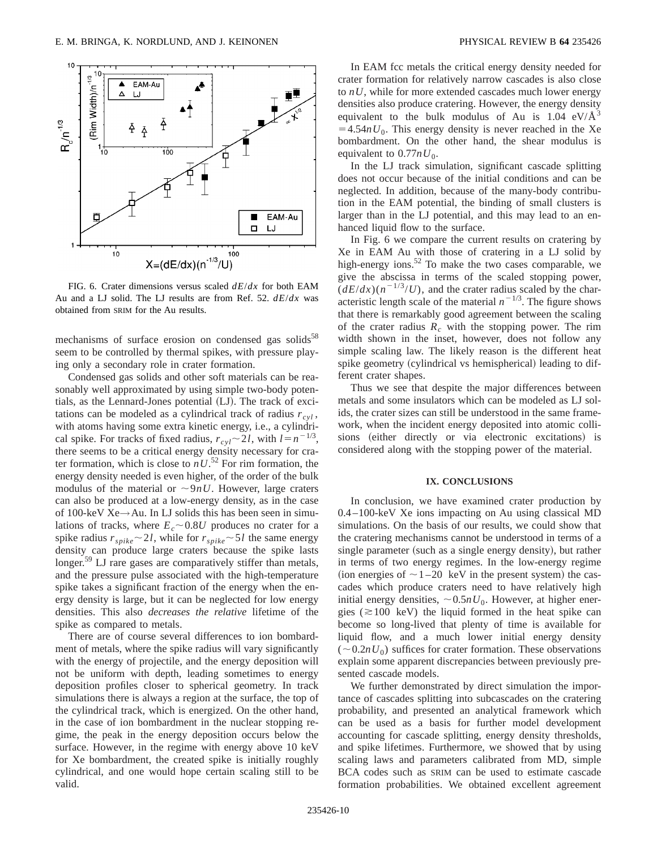

FIG. 6. Crater dimensions versus scaled *dE*/*dx* for both EAM Au and a LJ solid. The LJ results are from Ref. 52. *dE*/*dx* was obtained from SRIM for the Au results.

mechanisms of surface erosion on condensed gas solids $58$ seem to be controlled by thermal spikes, with pressure playing only a secondary role in crater formation.

Condensed gas solids and other soft materials can be reasonably well approximated by using simple two-body potentials, as the Lennard-Jones potential  $(LJ)$ . The track of excitations can be modeled as a cylindrical track of radius  $r_{cyl}$ , with atoms having some extra kinetic energy, i.e., a cylindrical spike. For tracks of fixed radius,  $r_{cvl} \sim 2l$ , with  $l = n^{-1/3}$ , there seems to be a critical energy density necessary for crater formation, which is close to  $nU$ <sup>52</sup> For rim formation, the energy density needed is even higher, of the order of the bulk modulus of the material or  $\sim 9nU$ . However, large craters can also be produced at a low-energy density, as in the case of 100-keV Xe→Au. In LJ solids this has been seen in simulations of tracks, where  $E_c \sim 0.8U$  produces no crater for a spike radius  $r_{spike} \sim 2l$ , while for  $r_{spike} \sim 5l$  the same energy density can produce large craters because the spike lasts longer.<sup>59</sup> LJ rare gases are comparatively stiffer than metals, and the pressure pulse associated with the high-temperature spike takes a significant fraction of the energy when the energy density is large, but it can be neglected for low energy densities. This also *decreases the relative* lifetime of the spike as compared to metals.

There are of course several differences to ion bombardment of metals, where the spike radius will vary significantly with the energy of projectile, and the energy deposition will not be uniform with depth, leading sometimes to energy deposition profiles closer to spherical geometry. In track simulations there is always a region at the surface, the top of the cylindrical track, which is energized. On the other hand, in the case of ion bombardment in the nuclear stopping regime, the peak in the energy deposition occurs below the surface. However, in the regime with energy above 10 keV for Xe bombardment, the created spike is initially roughly cylindrical, and one would hope certain scaling still to be valid.

In EAM fcc metals the critical energy density needed for crater formation for relatively narrow cascades is also close to *nU*, while for more extended cascades much lower energy densities also produce cratering. However, the energy density equivalent to the bulk modulus of Au is  $1.04 \text{ eV/A}^3$  $=4.54nU_0$ . This energy density is never reached in the Xe bombardment. On the other hand, the shear modulus is equivalent to  $0.77nU_0$ .

In the LJ track simulation, significant cascade splitting does not occur because of the initial conditions and can be neglected. In addition, because of the many-body contribution in the EAM potential, the binding of small clusters is larger than in the LJ potential, and this may lead to an enhanced liquid flow to the surface.

In Fig. 6 we compare the current results on cratering by Xe in EAM Au with those of cratering in a LJ solid by high-energy ions. $52$  To make the two cases comparable, we give the abscissa in terms of the scaled stopping power,  $(dE/dx)(n^{-1/3}/U)$ , and the crater radius scaled by the characteristic length scale of the material  $n^{-1/3}$ . The figure shows that there is remarkably good agreement between the scaling of the crater radius  $R_c$  with the stopping power. The rim width shown in the inset, however, does not follow any simple scaling law. The likely reason is the different heat spike geometry (cylindrical vs hemispherical) leading to different crater shapes.

Thus we see that despite the major differences between metals and some insulators which can be modeled as LJ solids, the crater sizes can still be understood in the same framework, when the incident energy deposited into atomic collisions (either directly or via electronic excitations) is considered along with the stopping power of the material.

### **IX. CONCLUSIONS**

In conclusion, we have examined crater production by 0.4–100-keV Xe ions impacting on Au using classical MD simulations. On the basis of our results, we could show that the cratering mechanisms cannot be understood in terms of a single parameter (such as a single energy density), but rather in terms of two energy regimes. In the low-energy regime (ion energies of  $\sim$  1–20 keV in the present system) the cascades which produce craters need to have relatively high initial energy densities,  $\sim 0.5nU_0$ . However, at higher energies ( $\approx$ 100 keV) the liquid formed in the heat spike can become so long-lived that plenty of time is available for liquid flow, and a much lower initial energy density  $(\sim 0.2nU_0)$  suffices for crater formation. These observations explain some apparent discrepancies between previously presented cascade models.

We further demonstrated by direct simulation the importance of cascades splitting into subcascades on the cratering probability, and presented an analytical framework which can be used as a basis for further model development accounting for cascade splitting, energy density thresholds, and spike lifetimes. Furthermore, we showed that by using scaling laws and parameters calibrated from MD, simple BCA codes such as SRIM can be used to estimate cascade formation probabilities. We obtained excellent agreement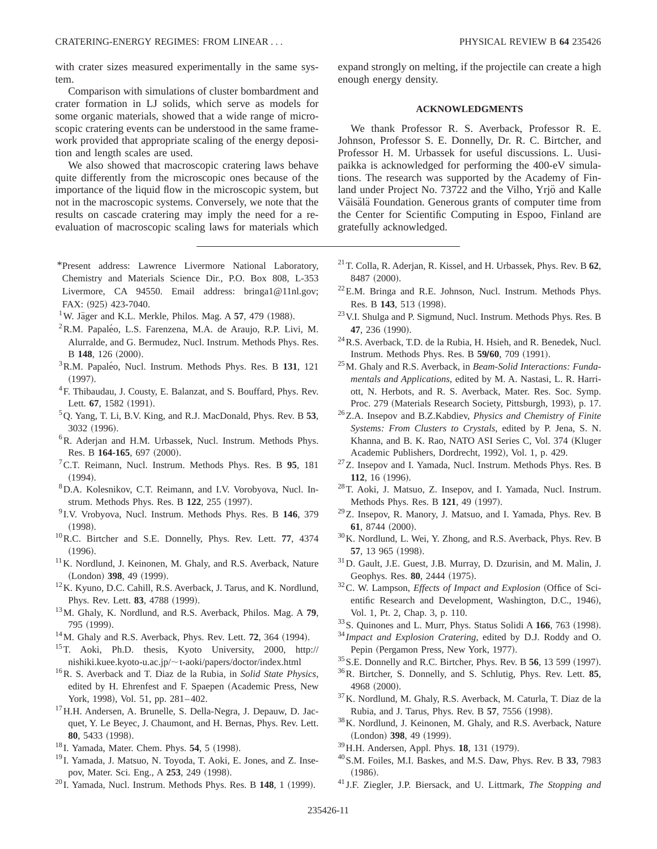with crater sizes measured experimentally in the same system.

Comparison with simulations of cluster bombardment and crater formation in LJ solids, which serve as models for some organic materials, showed that a wide range of microscopic cratering events can be understood in the same framework provided that appropriate scaling of the energy deposition and length scales are used.

We also showed that macroscopic cratering laws behave quite differently from the microscopic ones because of the importance of the liquid flow in the microscopic system, but not in the macroscopic systems. Conversely, we note that the results on cascade cratering may imply the need for a reevaluation of macroscopic scaling laws for materials which

- \*Present address: Lawrence Livermore National Laboratory, Chemistry and Materials Science Dir., P.O. Box 808, L-353 Livermore, CA 94550. Email address: bringa1@11nl.gov; FAX: (925) 423-7040.
- $1$ W. Jäger and K.L. Merkle, Philos. Mag. A  $57$ , 479 (1988).
- <sup>2</sup>R.M. Papaléo, L.S. Farenzena, M.A. de Araujo, R.P. Livi, M. Alurralde, and G. Bermudez, Nucl. Instrum. Methods Phys. Res. B 148, 126 (2000).
- <sup>3</sup> R.M. Papaléo, Nucl. Instrum. Methods Phys. Res. B 131, 121  $(1997).$
- <sup>4</sup>F. Thibaudau, J. Cousty, E. Balanzat, and S. Bouffard, Phys. Rev. Lett. **67**, 1582 (1991).
- 5Q. Yang, T. Li, B.V. King, and R.J. MacDonald, Phys. Rev. B **53**, 3032 (1996).
- 6R. Aderjan and H.M. Urbassek, Nucl. Instrum. Methods Phys. Res. B 164-165, 697 (2000).
- 7C.T. Reimann, Nucl. Instrum. Methods Phys. Res. B **95**, 181  $(1994).$
- 8D.A. Kolesnikov, C.T. Reimann, and I.V. Vorobyova, Nucl. Instrum. Methods Phys. Res. B 122, 255 (1997).
- <sup>9</sup> I.V. Vrobyova, Nucl. Instrum. Methods Phys. Res. B **146**, 379  $(1998).$
- 10R.C. Birtcher and S.E. Donnelly, Phys. Rev. Lett. **77**, 4374  $(1996).$
- <sup>11</sup>K. Nordlund, J. Keinonen, M. Ghaly, and R.S. Averback, Nature (London) 398, 49 (1999).
- 12K. Kyuno, D.C. Cahill, R.S. Averback, J. Tarus, and K. Nordlund, Phys. Rev. Lett. **83**, 4788 (1999).
- 13M. Ghaly, K. Nordlund, and R.S. Averback, Philos. Mag. A **79**, 795 (1999).
- $14$ M. Ghaly and R.S. Averback, Phys. Rev. Lett.  $72$ , 364 (1994).
- 15T. Aoki, Ph.D. thesis, Kyoto University, 2000, http:// nishiki.kuee.kyoto-u.ac.jp/;t-aoki/papers/doctor/index.html
- 16R. S. Averback and T. Diaz de la Rubia, in *Solid State Physics*, edited by H. Ehrenfest and F. Spaepen (Academic Press, New York, 1998), Vol. 51, pp. 281-402.
- <sup>17</sup> H.H. Andersen, A. Brunelle, S. Della-Negra, J. Depauw, D. Jacquet, Y. Le Beyec, J. Chaumont, and H. Bernas, Phys. Rev. Lett. 80, 5433 (1998).
- <sup>18</sup> I. Yamada, Mater. Chem. Phys. **54**, 5 (1998).
- <sup>19</sup> I. Yamada, J. Matsuo, N. Toyoda, T. Aoki, E. Jones, and Z. Insepov, Mater. Sci. Eng., A 253, 249 (1998).
- <sup>20</sup> I. Yamada, Nucl. Instrum. Methods Phys. Res. B 148, 1 (1999).

expand strongly on melting, if the projectile can create a high enough energy density.

## **ACKNOWLEDGMENTS**

We thank Professor R. S. Averback, Professor R. E. Johnson, Professor S. E. Donnelly, Dr. R. C. Birtcher, and Professor H. M. Urbassek for useful discussions. L. Uusipaikka is acknowledged for performing the 400-eV simulations. The research was supported by the Academy of Finland under Project No. 73722 and the Vilho, Yrjö and Kalle Väisälä Foundation. Generous grants of computer time from the Center for Scientific Computing in Espoo, Finland are gratefully acknowledged.

- 21T. Colla, R. Aderjan, R. Kissel, and H. Urbassek, Phys. Rev. B **62**, 8487 (2000).
- <sup>22</sup>E.M. Bringa and R.E. Johnson, Nucl. Instrum. Methods Phys. Res. B 143, 513 (1998).
- 23V.I. Shulga and P. Sigmund, Nucl. Instrum. Methods Phys. Res. B 47, 236 (1990).
- 24R.S. Averback, T.D. de la Rubia, H. Hsieh, and R. Benedek, Nucl. Instrum. Methods Phys. Res. B 59/60, 709 (1991).
- 25M. Ghaly and R.S. Averback, in *Beam-Solid Interactions: Fundamentals and Applications*, edited by M. A. Nastasi, L. R. Harriott, N. Herbots, and R. S. Averback, Mater. Res. Soc. Symp. Proc. 279 (Materials Research Society, Pittsburgh, 1993), p. 17.
- 26Z.A. Insepov and B.Z.Kabdiev, *Physics and Chemistry of Finite Systems: From Clusters to Crystals*, edited by P. Jena, S. N. Khanna, and B. K. Rao, NATO ASI Series C, Vol. 374 (Kluger Academic Publishers, Dordrecht, 1992), Vol. 1, p. 429.
- 27Z. Insepov and I. Yamada, Nucl. Instrum. Methods Phys. Res. B **112**, 16 (1996).
- 28T. Aoki, J. Matsuo, Z. Insepov, and I. Yamada, Nucl. Instrum. Methods Phys. Res. B 121, 49 (1997).
- 29Z. Insepov, R. Manory, J. Matsuo, and I. Yamada, Phys. Rev. B **61**, 8744 (2000).
- $30$ K. Nordlund, L. Wei, Y. Zhong, and R.S. Averback, Phys. Rev. B **57**, 13 965 (1998).
- 31D. Gault, J.E. Guest, J.B. Murray, D. Dzurisin, and M. Malin, J. Geophys. Res. 80, 2444 (1975).
- <sup>32</sup>C. W. Lampson, *Effects of Impact and Explosion* (Office of Scientific Research and Development, Washington, D.C., 1946), Vol. 1, Pt. 2, Chap. 3, p. 110.
- <sup>33</sup>S. Quinones and L. Murr, Phys. Status Solidi A 166, 763 (1998).
- <sup>34</sup> *Impact and Explosion Cratering*, edited by D.J. Roddy and O. Pepin (Pergamon Press, New York, 1977).
- <sup>35</sup> S.E. Donnelly and R.C. Birtcher, Phys. Rev. B **56**, 13 599 (1997).
- 36R. Birtcher, S. Donnelly, and S. Schlutig, Phys. Rev. Lett. **85**, 4968 (2000).
- 37K. Nordlund, M. Ghaly, R.S. Averback, M. Caturla, T. Diaz de la Rubia, and J. Tarus, Phys. Rev. B 57, 7556 (1998).
- 38K. Nordlund, J. Keinonen, M. Ghaly, and R.S. Averback, Nature (London) 398, 49 (1999).
- <sup>39</sup> H.H. Andersen, Appl. Phys. **18**, 131 (1979).
- 40S.M. Foiles, M.I. Baskes, and M.S. Daw, Phys. Rev. B **33**, 7983  $(1986).$
- <sup>41</sup> J.F. Ziegler, J.P. Biersack, and U. Littmark, *The Stopping and*